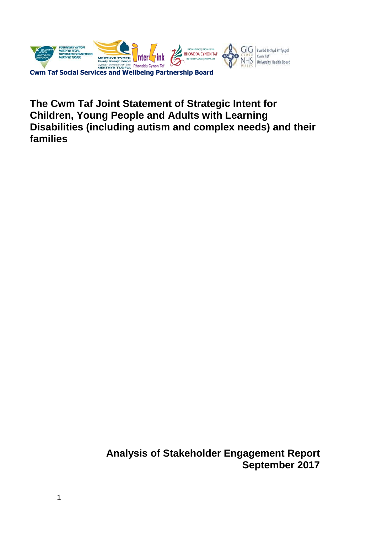

**The Cwm Taf Joint Statement of Strategic Intent for Children, Young People and Adults with Learning Disabilities (including autism and complex needs) and their families**

> **Analysis of Stakeholder Engagement Report September 2017**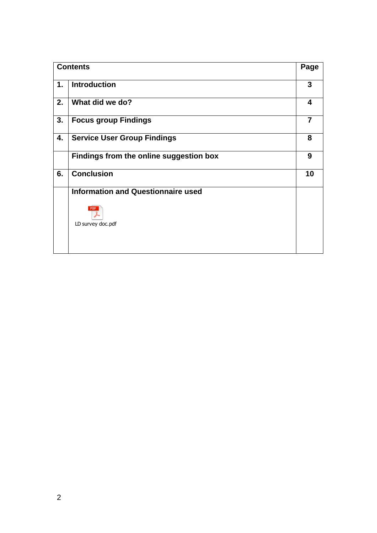| <b>Contents</b> |                                           | Page           |
|-----------------|-------------------------------------------|----------------|
| 1.              | <b>Introduction</b>                       | $\mathbf{3}$   |
| 2.              | What did we do?                           | 4              |
| 3.              | <b>Focus group Findings</b>               | $\overline{7}$ |
| 4.              | <b>Service User Group Findings</b>        | 8              |
|                 | Findings from the online suggestion box   | 9              |
| 6.              | <b>Conclusion</b>                         | 10             |
|                 | <b>Information and Questionnaire used</b> |                |
|                 |                                           |                |
|                 | LD survey doc.pdf                         |                |
|                 |                                           |                |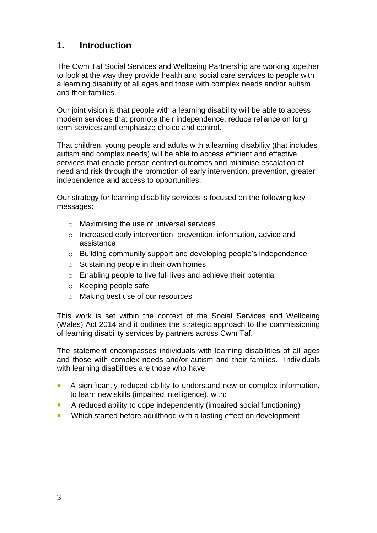# **1. Introduction**

The Cwm Taf Social Services and Wellbeing Partnership are working together to look at the way they provide health and social care services to people with a learning disability of all ages and those with complex needs and/or autism and their families.

Our joint vision is that people with a learning disability will be able to access modern services that promote their independence, reduce reliance on long term services and emphasize choice and control.

That children, young people and adults with a learning disability (that includes autism and complex needs) will be able to access efficient and effective services that enable person centred outcomes and minimise escalation of need and risk through the promotion of early intervention, prevention, greater independence and access to opportunities.

Our strategy for learning disability services is focused on the following key messages:

- o Maximising the use of universal services
- o Increased early intervention, prevention, information, advice and assistance
- o Building community support and developing people's independence
- $\circ$  Sustaining people in their own homes
- o Enabling people to live full lives and achieve their potential
- o Keeping people safe
- o Making best use of our resources

This work is set within the context of the Social Services and Wellbeing (Wales) Act 2014 and it outlines the strategic approach to the commissioning of learning disability services by partners across Cwm Taf.

The statement encompasses individuals with learning disabilities of all ages and those with complex needs and/or autism and their families. Individuals with learning disabilities are those who have:

- A significantly reduced ability to understand new or complex information, to learn new skills (impaired intelligence), with:
- A reduced ability to cope independently (impaired social functioning)
- **Number 1** Which started before adulthood with a lasting effect on development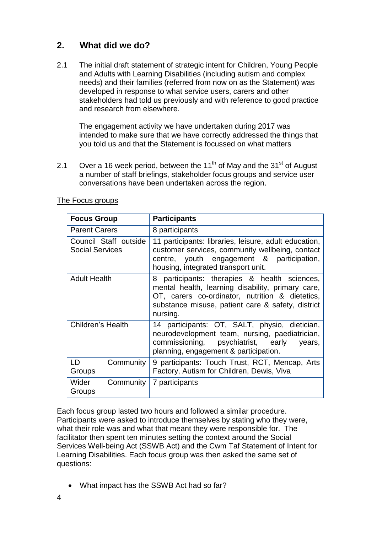# **2. What did we do?**

2.1 The initial draft statement of strategic intent for Children, Young People and Adults with Learning Disabilities (including autism and complex needs) and their families (referred from now on as the Statement) was developed in response to what service users, carers and other stakeholders had told us previously and with reference to good practice and research from elsewhere.

The engagement activity we have undertaken during 2017 was intended to make sure that we have correctly addressed the things that you told us and that the Statement is focussed on what matters

2.1 Over a 16 week period, between the  $11<sup>th</sup>$  of May and the  $31<sup>st</sup>$  of August a number of staff briefings, stakeholder focus groups and service user conversations have been undertaken across the region.

| <b>Focus Group</b>                              | <b>Participants</b>                                                                                                                                                                                                   |  |
|-------------------------------------------------|-----------------------------------------------------------------------------------------------------------------------------------------------------------------------------------------------------------------------|--|
| <b>Parent Carers</b>                            | 8 participants                                                                                                                                                                                                        |  |
| Council Staff outside<br><b>Social Services</b> | 11 participants: libraries, leisure, adult education,<br>customer services, community wellbeing, contact<br>centre, youth engagement & participation,<br>housing, integrated transport unit.                          |  |
| <b>Adult Health</b>                             | 8 participants: therapies & health sciences,<br>mental health, learning disability, primary care,<br>OT, carers co-ordinator, nutrition & dietetics,<br>substance misuse, patient care & safety, district<br>nursing. |  |
| Children's Health                               | 14 participants: OT, SALT, physio, dietician,<br>neurodevelopment team, nursing, paediatrician,<br>commissioning, psychiatrist, early<br>years,<br>planning, engagement & participation.                              |  |
| Community<br>LD.<br>Groups                      | 9 participants: Touch Trust, RCT, Mencap, Arts<br>Factory, Autism for Children, Dewis, Viva                                                                                                                           |  |
| Community<br>Wider<br>Groups                    | 7 participants                                                                                                                                                                                                        |  |

#### The Focus groups

Each focus group lasted two hours and followed a similar procedure. Participants were asked to introduce themselves by stating who they were, what their role was and what that meant they were responsible for. The facilitator then spent ten minutes setting the context around the Social Services Well-being Act (SSWB Act) and the Cwm Taf Statement of Intent for Learning Disabilities. Each focus group was then asked the same set of questions:

What impact has the SSWB Act had so far?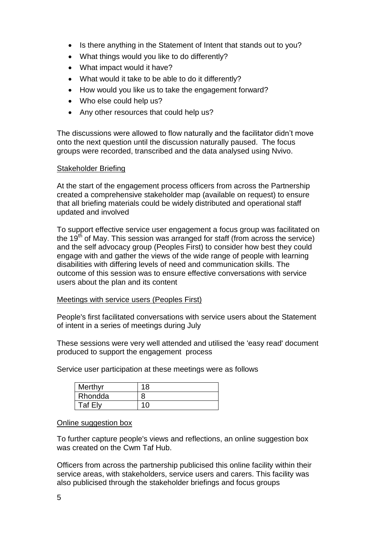- Is there anything in the Statement of Intent that stands out to you?
- What things would you like to do differently?
- What impact would it have?
- What would it take to be able to do it differently?
- How would you like us to take the engagement forward?
- Who else could help us?
- Any other resources that could help us?

The discussions were allowed to flow naturally and the facilitator didn't move onto the next question until the discussion naturally paused. The focus groups were recorded, transcribed and the data analysed using Nvivo.

#### Stakeholder Briefing

At the start of the engagement process officers from across the Partnership created a comprehensive stakeholder map (available on request) to ensure that all briefing materials could be widely distributed and operational staff updated and involved

To support effective service user engagement a focus group was facilitated on the 19<sup>th</sup> of May. This session was arranged for staff (from across the service) and the self advocacy group (Peoples First) to consider how best they could engage with and gather the views of the wide range of people with learning disabilities with differing levels of need and communication skills. The outcome of this session was to ensure effective conversations with service users about the plan and its content

#### Meetings with service users (Peoples First)

People's first facilitated conversations with service users about the Statement of intent in a series of meetings during July

These sessions were very well attended and utilised the 'easy read' document produced to support the engagement process

Service user participation at these meetings were as follows

| Merthyr | 18 |
|---------|----|
| Rhondda | 8  |
| Taf Elv |    |

#### Online suggestion box

To further capture people's views and reflections, an online suggestion box was created on the Cwm Taf Hub.

Officers from across the partnership publicised this online facility within their service areas, with stakeholders, service users and carers. This facility was also publicised through the stakeholder briefings and focus groups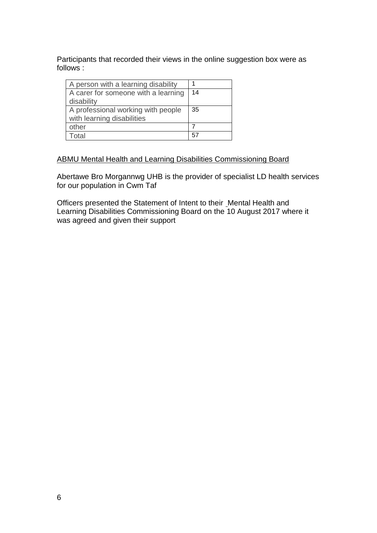Participants that recorded their views in the online suggestion box were as follows :

| A person with a learning disability |    |
|-------------------------------------|----|
| A carer for someone with a learning | 14 |
| disability                          |    |
| A professional working with people  | 35 |
| with learning disabilities          |    |
| other                               |    |
| Total                               | 57 |

#### ABMU Mental Health and Learning Disabilities Commissioning Board

Abertawe Bro Morgannwg UHB is the provider of specialist LD health services for our population in Cwm Taf

Officers presented the Statement of Intent to their Mental Health and Learning Disabilities Commissioning Board on the 10 August 2017 where it was agreed and given their support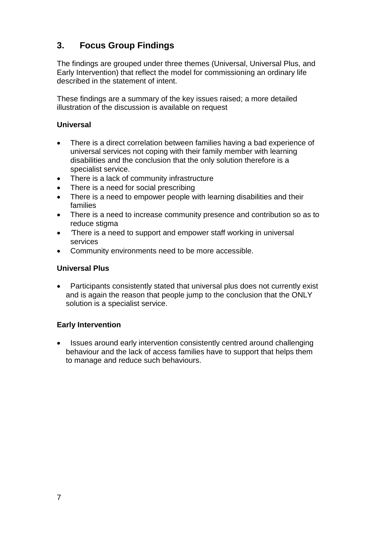# **3. Focus Group Findings**

The findings are grouped under three themes (Universal, Universal Plus, and Early Intervention) that reflect the model for commissioning an ordinary life described in the statement of intent.

These findings are a summary of the key issues raised; a more detailed illustration of the discussion is available on request

## **Universal**

- There is a direct correlation between families having a bad experience of universal services not coping with their family member with learning disabilities and the conclusion that the only solution therefore is a specialist service.
- There is a lack of community infrastructure
- There is a need for social prescribing
- There is a need to empower people with learning disabilities and their families
- There is a need to increase community presence and contribution so as to reduce stigma
- *'*There is a need to support and empower staff working in universal services
- Community environments need to be more accessible.

## **Universal Plus**

 Participants consistently stated that universal plus does not currently exist and is again the reason that people jump to the conclusion that the ONLY solution is a specialist service.

## **Early Intervention**

• Issues around early intervention consistently centred around challenging behaviour and the lack of access families have to support that helps them to manage and reduce such behaviours.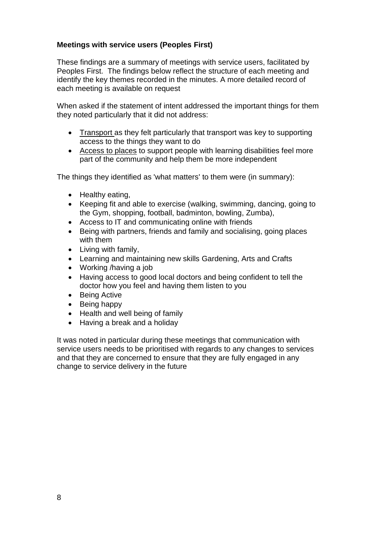## **Meetings with service users (Peoples First)**

These findings are a summary of meetings with service users, facilitated by Peoples First. The findings below reflect the structure of each meeting and identify the key themes recorded in the minutes. A more detailed record of each meeting is available on request

When asked if the statement of intent addressed the important things for them they noted particularly that it did not address:

- Transport as they felt particularly that transport was key to supporting access to the things they want to do
- Access to places to support people with learning disabilities feel more part of the community and help them be more independent

The things they identified as 'what matters' to them were (in summary):

- Healthy eating,
- Keeping fit and able to exercise (walking, swimming, dancing, going to the Gym, shopping, football, badminton, bowling, Zumba),
- Access to IT and communicating online with friends
- Being with partners, friends and family and socialising, going places with them
- Living with family,
- Learning and maintaining new skills Gardening, Arts and Crafts
- Working /having a job
- Having access to good local doctors and being confident to tell the doctor how you feel and having them listen to you
- Being Active
- Being happy
- Health and well being of family
- Having a break and a holiday

It was noted in particular during these meetings that communication with service users needs to be prioritised with regards to any changes to services and that they are concerned to ensure that they are fully engaged in any change to service delivery in the future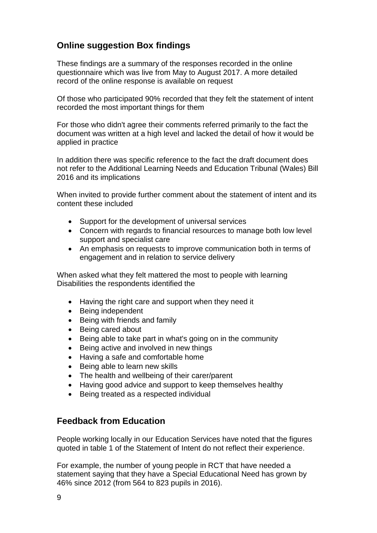# **Online suggestion Box findings**

These findings are a summary of the responses recorded in the online questionnaire which was live from May to August 2017. A more detailed record of the online response is available on request

Of those who participated 90% recorded that they felt the statement of intent recorded the most important things for them

For those who didn't agree their comments referred primarily to the fact the document was written at a high level and lacked the detail of how it would be applied in practice

In addition there was specific reference to the fact the draft document does not refer to the Additional Learning Needs and Education Tribunal (Wales) Bill 2016 and its implications

When invited to provide further comment about the statement of intent and its content these included

- Support for the development of universal services
- Concern with regards to financial resources to manage both low level support and specialist care
- An emphasis on requests to improve communication both in terms of engagement and in relation to service delivery

When asked what they felt mattered the most to people with learning Disabilities the respondents identified the

- Having the right care and support when they need it
- Being independent
- Being with friends and family
- Being cared about
- Being able to take part in what's going on in the community
- Being active and involved in new things
- Having a safe and comfortable home
- Being able to learn new skills
- The health and wellbeing of their carer/parent
- Having good advice and support to keep themselves healthy
- Being treated as a respected individual

## **Feedback from Education**

People working locally in our Education Services have noted that the figures quoted in table 1 of the Statement of Intent do not reflect their experience.

For example, the number of young people in RCT that have needed a statement saying that they have a Special Educational Need has grown by 46% since 2012 (from 564 to 823 pupils in 2016).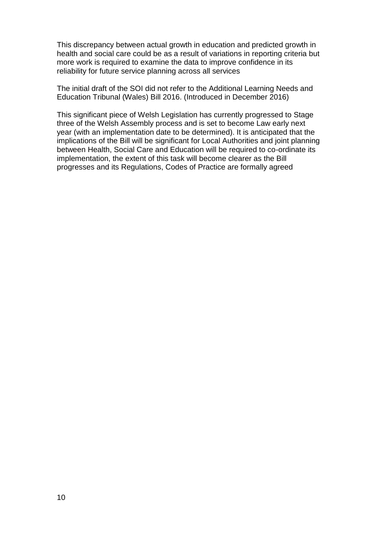This discrepancy between actual growth in education and predicted growth in health and social care could be as a result of variations in reporting criteria but more work is required to examine the data to improve confidence in its reliability for future service planning across all services

The initial draft of the SOI did not refer to the Additional Learning Needs and Education Tribunal (Wales) Bill 2016. (Introduced in December 2016)

This significant piece of Welsh Legislation has currently progressed to Stage three of the Welsh Assembly process and is set to become Law early next year (with an implementation date to be determined). It is anticipated that the implications of the Bill will be significant for Local Authorities and joint planning between Health, Social Care and Education will be required to co-ordinate its implementation, the extent of this task will become clearer as the Bill progresses and its Regulations, Codes of Practice are formally agreed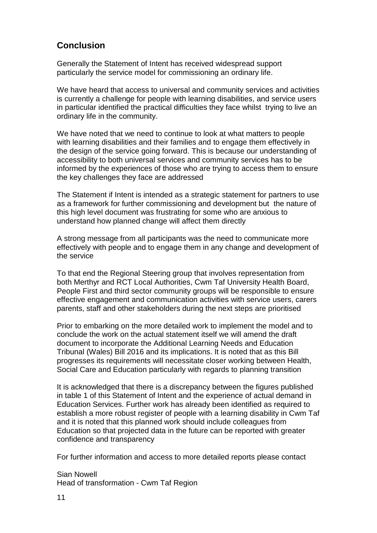## **Conclusion**

Generally the Statement of Intent has received widespread support particularly the service model for commissioning an ordinary life.

We have heard that access to universal and community services and activities is currently a challenge for people with learning disabilities, and service users in particular identified the practical difficulties they face whilst trying to live an ordinary life in the community.

We have noted that we need to continue to look at what matters to people with learning disabilities and their families and to engage them effectively in the design of the service going forward. This is because our understanding of accessibility to both universal services and community services has to be informed by the experiences of those who are trying to access them to ensure the key challenges they face are addressed

The Statement if Intent is intended as a strategic statement for partners to use as a framework for further commissioning and development but the nature of this high level document was frustrating for some who are anxious to understand how planned change will affect them directly

A strong message from all participants was the need to communicate more effectively with people and to engage them in any change and development of the service

To that end the Regional Steering group that involves representation from both Merthyr and RCT Local Authorities, Cwm Taf University Health Board, People First and third sector community groups will be responsible to ensure effective engagement and communication activities with service users, carers parents, staff and other stakeholders during the next steps are prioritised

Prior to embarking on the more detailed work to implement the model and to conclude the work on the actual statement itself we will amend the draft document to incorporate the Additional Learning Needs and Education Tribunal (Wales) Bill 2016 and its implications. It is noted that as this Bill progresses its requirements will necessitate closer working between Health, Social Care and Education particularly with regards to planning transition

It is acknowledged that there is a discrepancy between the figures published in table 1 of this Statement of Intent and the experience of actual demand in Education Services. Further work has already been identified as required to establish a more robust register of people with a learning disability in Cwm Taf and it is noted that this planned work should include colleagues from Education so that projected data in the future can be reported with greater confidence and transparency

For further information and access to more detailed reports please contact

Sian Nowell Head of transformation - Cwm Taf Region